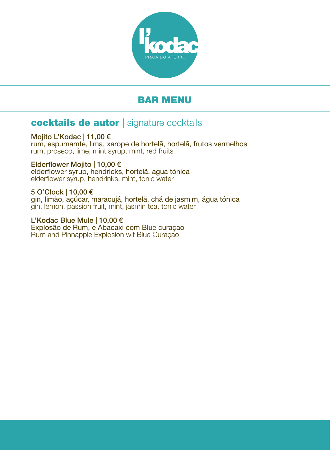

# BAR MENU

# cocktails de autor | signature cocktails

Mojito L'Kodac | 11,00 € rum, espumamte, lima, xarope de hortelã, hortelã, frutos vermelhos rum, proseco, lime, mint syrup, mint, red fruits

Elderflower Mojito | 10,00 € elderflower syrup, hendricks, hortelã, água tónica elderflower syrup, hendrinks, mint, tonic water

5 O'Clock | 10,00 € gin, limão, açúcar, maracujá, hortelã, chá de jasmim, água tónica gin, lemon, passion fruit, mint, jasmin tea, tonic water

L'Kodac Blue Mule | 10,00 € Explosão de Rum, e Abacaxi com Blue curaçao Rum and Pinnapple Explosion wit Blue Curaçao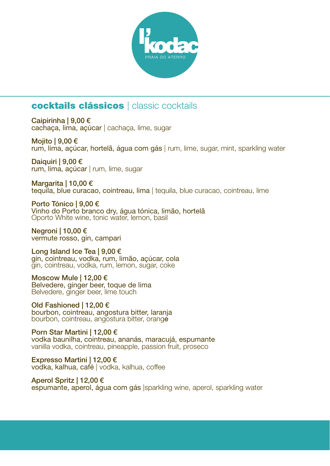

# cocktails clássicos | classic cocktails

Caipirinha | 9,00 € cachaça, lima, açúcar | cachaça, lime, sugar

Mojito | 9,00 € rum, lima, açúcar, hortelã, água com gás | rum, lime, sugar, mint, sparkling water

Daiquiri | 9,00 € rum, lima, açúcar | rum, lime, sugar

Margarita | 10,00 € tequila, blue curacao, cointreau, lima | tequila, blue curacao, cointreau, lime

Porto Tónico | 9,00 € Vinho do Porto branco dry, água tónica, limão, hortelã Oporto White wine, tonic water, lemon, basil

Negroni | 10,00 € vermute rosso, gin, campari

Long Island Ice Tea | 9,00 € gin, cointreau, vodka, rum, limão, açúcar, cola gin, cointreau, vodka, rum, lemon, sugar, coke

Moscow Mule | 12,00 € Belvedere, ginger beer, toque de lima Belvedere, ginger beer, lime touch

Old Fashioned | 12,00 € bourbon, cointreau, angostura bitter, laranja bourbon, cointreau, angostura bitter, orange

Porn Star Martini | 12,00 € vodka baunilha, cointreau, ananás, maracujá, espumante vanilla vodka, cointreau, pineapple, passion fruit, proseco

Expresso Martini | 12,00 € vodka, kalhua, café | vodka, kalhua, coffee

Aperol Spritz | 12,00 € espumante, aperol, água com gás |sparkling wine, aperol, sparkling water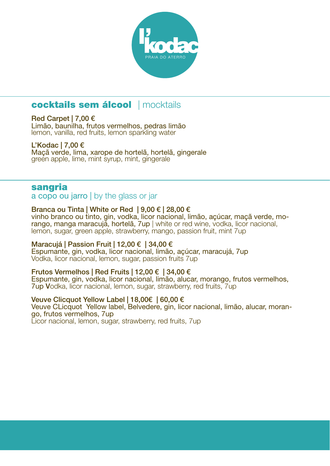

# cocktails sem álcool | mocktails

#### Red Carpet | 7,00 €

Limão, baunilha, frutos vermelhos, pedras limão lemon, vanilla, red fruits, lemon sparkling water

#### L'Kodac | 7,00 €

Maçã verde, lima, xarope de hortelã, hortelã, gingerale green apple, lime, mint syrup, mint, gingerale

#### sangria

a copo ou jarro | by the glass or jar

Branca ou Tinta | White or Red | 9,00 € | 28,00 €<br>vinho branco ou tinto, gin, vodka, licor nacional, limão, acúcar, macã verde, morango, manga maracujá, hortelã, 7up | white or red wine, vodka, licor nacional, lemon, sugar, green apple, strawberry, mango, passion fruit, mint 7up

#### Maracujá | Passion Fruit | 12,00 € | 34,00 €

Espumante, gin, vodka, licor nacional, limão, açúcar, maracujá, 7up Vodka, licor nacional, lemon, sugar, passion fruits 7up

#### Frutos Vermelhos | Red Fruits | 12,00 € | 34,00 €

Espumante, gin, vodka, licor nacional, limão, alucar, morango, frutos vermelhos, 7up Vodka, licor nacional, lemon, sugar, strawberry, red fruits, 7up

#### Veuve Clicquot Yellow Label | 18,00€ | 60,00 €

Veuve CLicquot Yellow label, Belvedere, gin, licor nacional, limão, alucar, moran- go, frutos vermelhos, 7up

Licor nacional, lemon, sugar, strawberry, red fruits, 7up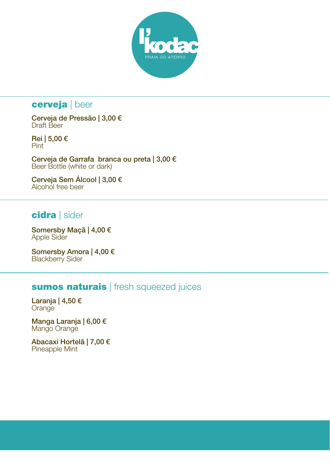

# cerveja | beer

Cerveja de Pressão | 3,00 € Draft Beer

Rei | 5,00 € Pint

Cerveja de Garrafa branca ou preta | 3,00 € Beer Bottle (white or dark)

Cerveja Sem Álcool | 3,00 € Alcohol free beer

### cidra | sider

Somersby Maçã | 4,00 € Apple Sider

Somersby Amora | 4,00 € Blackberry Sider

# sumos naturais | fresh squeezed juices

Laranja | 4,50 € **Orange** 

Manga Laranja | 6,00 € Mango Orange

Abacaxi Hortelã | 7,00 € Pineapple Mint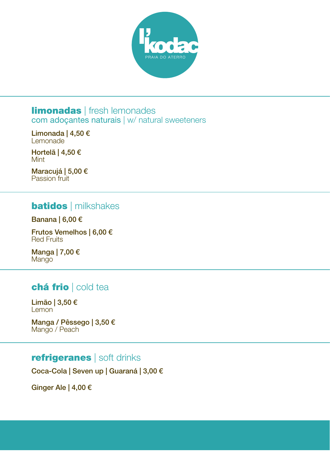

#### **limonadas** | fresh lemonades com adoçantes naturais | w/ natural sweeteners

Limonada | 4,50 € Lemonade

Hortelã | 4,50 € Mint

Maracujá | 5,00 € Passion fruit

## **batidos** | milkshakes

#### Banana | 6,00 €

Frutos Vemelhos | 6,00 € Red Fruits

Manga | 7,00 € Mango

## chá frio | cold tea

Limão | 3,50 € **Lemon** 

Manga / Pêssego | 3,50 € Mango / Peach

## refrigeranes | soft drinks

Coca-Cola | Seven up | Guaraná | 3,00 €

Ginger Ale | 4,00 €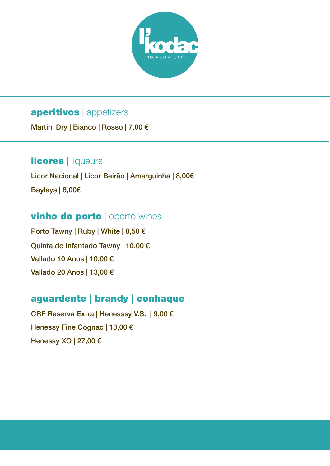

# aperitivos | appetizers

Martini Dry | Bianco | Rosso | 7,00 €

# **licores** | liqueurs

Licor Nacional | Licor Beirão | Amarguinha | 8,00€

Bayleys | 8,00€

# vinho do porto | oporto wines

Porto Tawny | Ruby | White | 8,50 € Quinta do Infantado Tawny | 10,00 € Vallado 10 Anos | 10,00 € Vallado 20 Anos | 13,00 €

# aguardente | brandy | conhaque

CRF Reserva Extra | Henesssy V.S. | 9,00 € Henessy Fine Cognac | 13,00 € Henessy XO | 27,00 €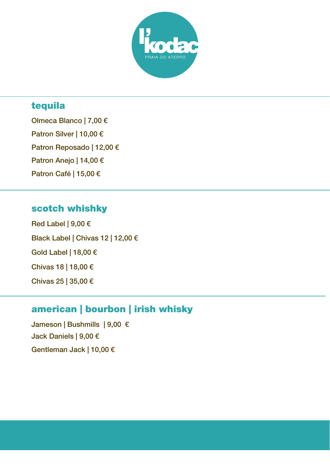

# tequila

Olmeca Blanco | 7,00 € Patron Silver | 10,00 € Patron Reposado | 12,00 € Patron Anejo | 14,00 € Patron Café | 15,00 €

## scotch whishky

Red Label | 9,00 € Black Label | Chivas 12 | 12,00 € Gold Label | 18,00 € Chivas 18 | 18,00 € Chivas 25 | 35,00 €

# american | bourbon | irish whisky

Jameson | Bushmills | 9,00 € Jack Daniels | 9,00 € Gentleman Jack | 10,00 €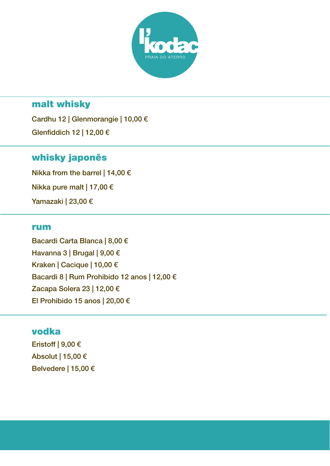

## malt whisky

Cardhu 12 | Glenmorangie | 10,00 € Glenfiddich 12 | 12,00 €

## whisky japonês

Nikka from the barrel | 14,00  $\epsilon$ Nikka pure malt | 17,00 € Yamazaki | 23,00 €

#### rum

Bacardi Carta Blanca | 8,00 € Havanna 3 | Brugal | 9,00 € Kraken | Cacique | 10,00 € Bacardi 8 | Rum Prohibido 12 anos | 12,00 € Zacapa Solera 23 | 12,00 € El Prohibido 15 anos | 20,00 €

#### vodka

Eristoff | 9,00 € Absolut | 15,00 € Belvedere | 15,00 €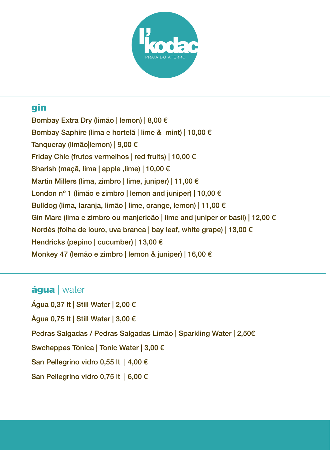

# gin

Bombay Extra Dry (limão | lemon) | 8,00 € Bombay Saphire (lima e hortelã | lime & mint) | 10,00 € Tanqueray (limão|lemon) | 9,00 € Friday Chic (frutos vermelhos | red fruits) | 10,00 € Sharish (maçã, lima | apple ,lime) | 10,00 € Martin Millers (lima, zimbro | lime, juniper) | 11,00 € London nº 1 (limão e zimbro | lemon and juniper) | 10,00 € Bulldog (lima, laranja, limão | lime, orange, lemon) | 11,00 € Gin Mare (lima e zimbro ou manjericão | lime and juniper or basil) | 12,00 € Nordés (folha de louro, uva branca | bay leaf, white grape) | 13,00 € Hendricks (pepino | cucumber) | 13,00 € Monkey 47 (lemão e zimbro | lemon & juniper) | 16,00 €

## áqua | water

Água 0,37 lt | Still Water | 2,00 € Água 0,75 lt | Still Water | 3,00 € Pedras Salgadas / Pedras Salgadas Limão | Sparkling Water | 2,50€ Swcheppes Tónica | Tonic Water | 3,00 € San Pellegrino vidro 0,55 lt | 4,00 € San Pellegrino vidro 0,75 lt | 6,00 €